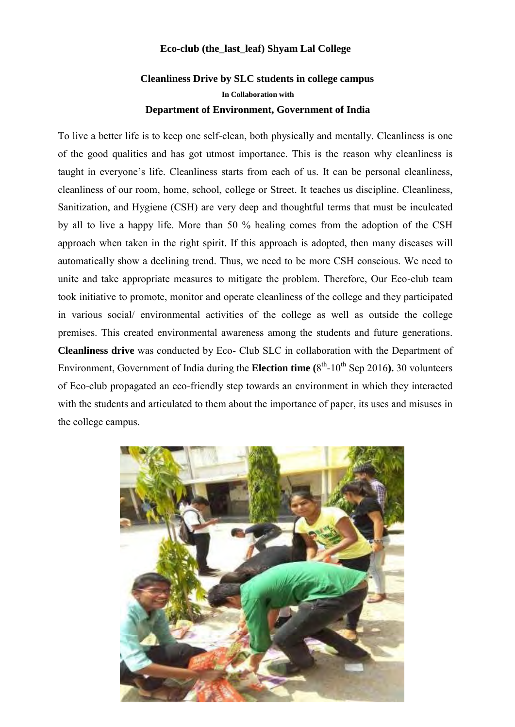## **Eco-club (the\_last\_leaf) Shyam Lal College**

## **Cleanliness Drive by SLC students in college campus In Collaboration with Department of Environment, Government of India**

To live a better life is to keep one self-clean, both physically and mentally. Cleanliness is one of the good qualities and has got utmost importance. This is the reason why cleanliness is taught in everyone's life. Cleanliness starts from each of us. It can be personal cleanliness, cleanliness of our room, home, school, college or Street. It teaches us discipline. Cleanliness, Sanitization, and Hygiene (CSH) are very deep and thoughtful terms that must be inculcated by all to live a happy life. More than 50 % healing comes from the adoption of the CSH approach when taken in the right spirit. If this approach is adopted, then many diseases will automatically show a declining trend. Thus, we need to be more CSH conscious. We need to unite and take appropriate measures to mitigate the problem. Therefore, Our Eco-club team took initiative to promote, monitor and operate cleanliness of the college and they participated in various social/ environmental activities of the college as well as outside the college premises. This created environmental awareness among the students and future generations. **Cleanliness drive** was conducted by Eco- Club SLC in collaboration with the Department of Environment, Government of India during the Election time (8<sup>th</sup>-10<sup>th</sup> Sep 2016). 30 volunteers of Eco-club propagated an eco-friendly step towards an environment in which they interacted with the students and articulated to them about the importance of paper, its uses and misuses in the college campus.

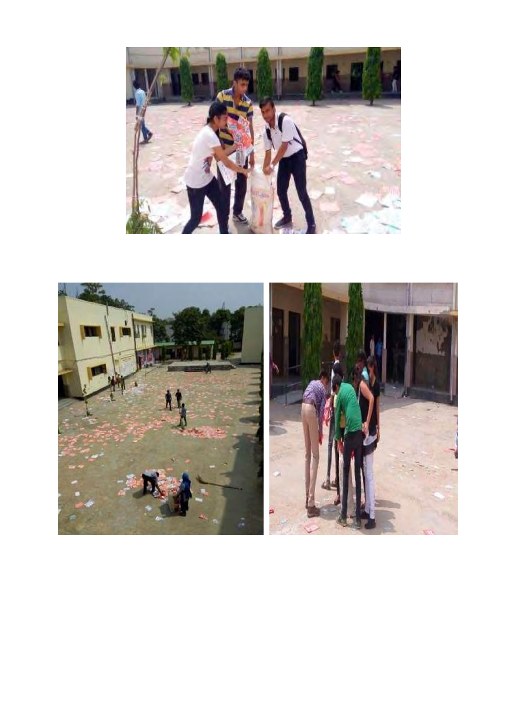